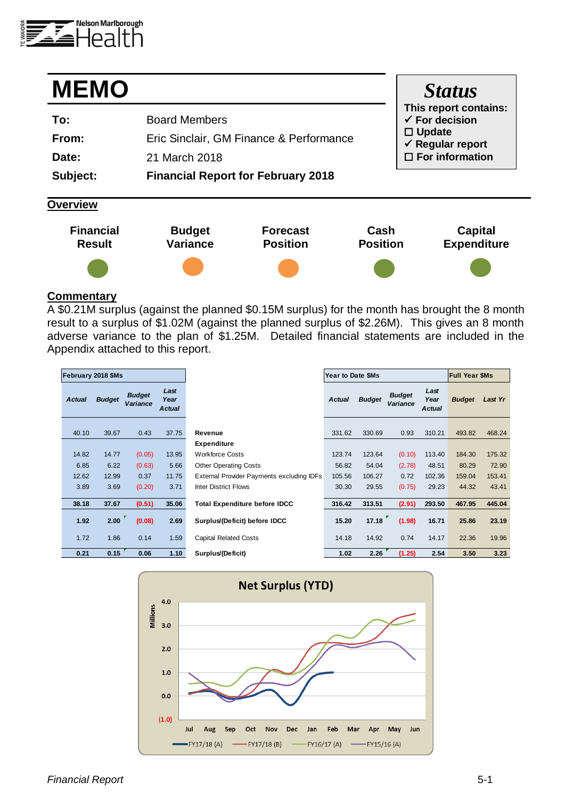

| This report contains:<br>$\checkmark$ For decision |
|----------------------------------------------------|
|                                                    |
| $\Box$ Update<br>$\checkmark$ Regular report       |
| $\Box$ For information                             |
|                                                    |
|                                                    |











**Cash Position**

### **Commentary**

A \$0.21M surplus (against the planned \$0.15M surplus) for the month has brought the 8 month result to a surplus of \$1.02M (against the planned surplus of \$2.26M). This gives an 8 month adverse variance to the plan of \$1.25M. Detailed financial statements are included in the Appendix attached to this report.

| February 2018 \$Ms |               |                           |                               |                                           | Year to Date \$Ms |               |                           | <b>Full Year \$Ms</b>         |               |         |  |  |
|--------------------|---------------|---------------------------|-------------------------------|-------------------------------------------|-------------------|---------------|---------------------------|-------------------------------|---------------|---------|--|--|
| <b>Actual</b>      | <b>Budget</b> | <b>Budget</b><br>Variance | Last<br>Year<br><b>Actual</b> |                                           | <b>Actual</b>     | <b>Budget</b> | <b>Budget</b><br>Variance | Last<br>Year<br><b>Actual</b> | <b>Budget</b> | Last Yr |  |  |
| 40.10              | 39.67         | 0.43                      | 37.75                         | Revenue                                   | 331.62            | 330.69        | 0.93                      | 310.21                        | 493.82        | 468.24  |  |  |
|                    |               |                           |                               | <b>Expenditure</b>                        |                   |               |                           |                               |               |         |  |  |
| 14.82              | 14.77         | (0.05)                    | 13.95                         | <b>Workforce Costs</b>                    | 123.74            | 123.64        | (0.10)                    | 113.40                        | 184.30        | 175.32  |  |  |
| 6.85               | 6.22          | (0.63)                    | 5.66                          | <b>Other Operating Costs</b>              | 56.82             | 54.04         | (2.78)                    | 48.51                         | 80.29         | 72.90   |  |  |
| 12.62              | 12.99         | 0.37                      | 11.75                         | External Provider Payments excluding IDFs | 105.56            | 106.27        | 0.72                      | 102.36                        | 159.04        | 153.41  |  |  |
| 3.89               | 3.69          | (0.20)                    | 3.71                          | <b>Inter District Flows</b>               | 30.30             | 29.55         | (0.75)                    | 29.23                         | 44.32         | 43.41   |  |  |
| 38.18              | 37.67         | (0.51)                    | 35.06                         | <b>Total Expenditure before IDCC</b>      | 316.42            | 313.51        | (2.91)                    | 293.50                        | 467.95        | 445.04  |  |  |
| 1.92               | 2.00          | (0.08)                    | 2.69                          | Surplus/(Deficit) before IDCC             | 15.20             | 17.18         | (1.98)                    | 16.71                         | 25.86         | 23.19   |  |  |
| 1.72               | 1.86          | 0.14                      | 1.59                          | <b>Capital Related Costs</b>              | 14.18             | 14.92         | 0.74                      | 14.17                         | 22.36         | 19.96   |  |  |
| 0.21               | 0.15          | 0.06                      | 1.10                          | Surplus/(Deficit)                         | 1.02              | 2.26          | (1.25)                    | 2.54                          | 3.50          | 3.23    |  |  |

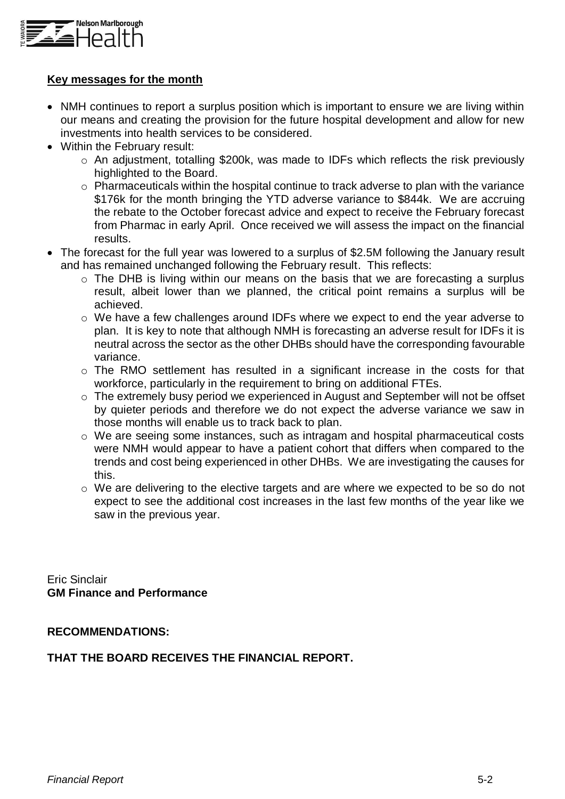

### **Key messages for the month**

- NMH continues to report a surplus position which is important to ensure we are living within our means and creating the provision for the future hospital development and allow for new investments into health services to be considered.
- Within the February result:
	- o An adjustment, totalling \$200k, was made to IDFs which reflects the risk previously highlighted to the Board.
	- o Pharmaceuticals within the hospital continue to track adverse to plan with the variance \$176k for the month bringing the YTD adverse variance to \$844k. We are accruing the rebate to the October forecast advice and expect to receive the February forecast from Pharmac in early April. Once received we will assess the impact on the financial results.
- The forecast for the full year was lowered to a surplus of \$2.5M following the January result and has remained unchanged following the February result. This reflects:
	- o The DHB is living within our means on the basis that we are forecasting a surplus result, albeit lower than we planned, the critical point remains a surplus will be achieved.
	- o We have a few challenges around IDFs where we expect to end the year adverse to plan. It is key to note that although NMH is forecasting an adverse result for IDFs it is neutral across the sector as the other DHBs should have the corresponding favourable variance.
	- o The RMO settlement has resulted in a significant increase in the costs for that workforce, particularly in the requirement to bring on additional FTEs.
	- o The extremely busy period we experienced in August and September will not be offset by quieter periods and therefore we do not expect the adverse variance we saw in those months will enable us to track back to plan.
	- o We are seeing some instances, such as intragam and hospital pharmaceutical costs were NMH would appear to have a patient cohort that differs when compared to the trends and cost being experienced in other DHBs. We are investigating the causes for this.
	- o We are delivering to the elective targets and are where we expected to be so do not expect to see the additional cost increases in the last few months of the year like we saw in the previous year.

Eric Sinclair **GM Finance and Performance**

**RECOMMENDATIONS:**

#### **THAT THE BOARD RECEIVES THE FINANCIAL REPORT.**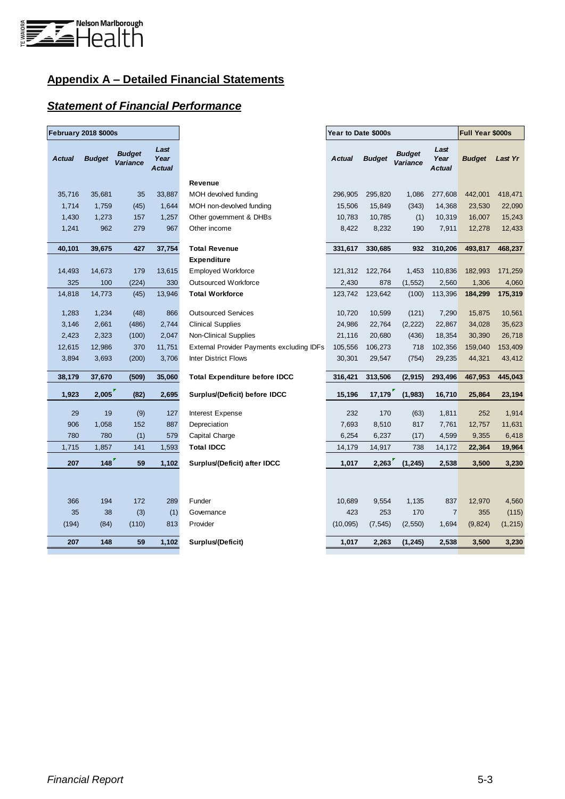

### **Appendix A – Detailed Financial Statements**

### *Statement of Financial Performance*

| <b>February 2018 \$000s</b> |               |                           |                        |                                                  | Year to Date \$000s |               |                           |                        | Full Year \$000s |          |  |
|-----------------------------|---------------|---------------------------|------------------------|--------------------------------------------------|---------------------|---------------|---------------------------|------------------------|------------------|----------|--|
| <b>Actual</b>               | <b>Budget</b> | <b>Budget</b><br>Variance | Last<br>Year<br>Actual |                                                  | Actual              | <b>Budget</b> | <b>Budget</b><br>Variance | Last<br>Year<br>Actual | <b>Budget</b>    | Last Yr  |  |
|                             |               |                           |                        | <b>Revenue</b>                                   |                     |               |                           |                        |                  |          |  |
| 35,716                      | 35,681        | 35                        | 33,887                 | MOH devolved funding                             | 296,905             | 295,820       | 1,086                     | 277,608                | 442,001          | 418,471  |  |
| 1,714                       | 1,759         | (45)                      | 1,644                  | MOH non-devolved funding                         | 15,506              | 15,849        | (343)                     | 14,368                 | 23,530           | 22,090   |  |
| 1,430                       | 1,273         | 157                       | 1,257                  | Other government & DHBs                          | 10,783              | 10,785        | (1)                       | 10,319                 | 16,007           | 15,243   |  |
| 1,241                       | 962           | 279                       | 967                    | Other income                                     | 8,422               | 8,232         | 190                       | 7,911                  | 12,278           | 12,433   |  |
| 40,101                      | 39,675        | 427                       | 37,754                 | <b>Total Revenue</b>                             | 331,617             | 330,685       | 932                       | 310,206                | 493,817          | 468,237  |  |
|                             |               |                           |                        | <b>Expenditure</b>                               |                     |               |                           |                        |                  |          |  |
| 14,493                      | 14,673        | 179                       | 13,615                 | <b>Employed Workforce</b>                        | 121,312             | 122,764       | 1,453                     | 110,836                | 182,993          | 171,259  |  |
| 325                         | 100           | (224)                     | 330                    | <b>Outsourced Workforce</b>                      | 2,430               | 878           | (1, 552)                  | 2,560                  | 1,306            | 4,060    |  |
| 14,818                      | 14,773        | (45)                      | 13,946                 | <b>Total Workforce</b>                           | 123,742             | 123,642       | (100)                     | 113,396                | 184,299          | 175,319  |  |
| 1,283                       | 1,234         | (48)                      | 866                    | <b>Outsourced Services</b>                       | 10,720              | 10,599        | (121)                     | 7,290                  | 15,875           | 10,561   |  |
| 3,146                       | 2,661         | (486)                     | 2,744                  | <b>Clinical Supplies</b>                         | 24,986              | 22,764        | (2, 222)                  | 22,867                 | 34,028           | 35,623   |  |
| 2,423                       | 2,323         | (100)                     | 2,047                  | Non-Clinical Supplies                            | 21,116              | 20,680        | (436)                     | 18,354                 | 30,390           | 26,718   |  |
| 12,615                      | 12,986        | 370                       | 11,751                 | <b>External Provider Payments excluding IDFs</b> | 105,556             | 106,273       | 718                       | 102,356                | 159,040          | 153,409  |  |
| 3,894                       | 3,693         | (200)                     | 3,706                  | <b>Inter District Flows</b>                      | 30,301              | 29,547        | (754)                     | 29,235                 | 44,321           | 43,412   |  |
| 38,179                      | 37,670        | (509)                     | 35,060                 | <b>Total Expenditure before IDCC</b>             | 316,421             | 313,506       | (2, 915)                  | 293,496                | 467,953          | 445,043  |  |
| 1,923                       | 2,005         | (82)                      | 2,695                  | Surplus/(Deficit) before IDCC                    | 15,196              | 17,179        | (1,983)                   | 16,710                 | 25,864           | 23,194   |  |
| 29                          | 19            | (9)                       | 127                    | Interest Expense                                 | 232                 | 170           | (63)                      | 1,811                  | 252              | 1,914    |  |
| 906                         | 1,058         | 152                       | 887                    | Depreciation                                     | 7,693               | 8,510         | 817                       | 7,761                  | 12,757           | 11,631   |  |
| 780                         | 780           | (1)                       | 579                    | Capital Charge                                   | 6,254               | 6,237         | (17)                      | 4,599                  | 9,355            | 6,418    |  |
| 1,715                       | 1,857         | 141                       | 1,593                  | <b>Total IDCC</b>                                | 14,179              | 14,917        | 738                       | 14,172                 | 22,364           | 19,964   |  |
| 207                         | 148           | 59                        | 1,102                  | Surplus/(Deficit) after IDCC                     | 1,017               | 2,263         | (1, 245)                  | 2,538                  | 3,500            | 3,230    |  |
|                             |               |                           |                        |                                                  |                     |               |                           |                        |                  |          |  |
| 366                         | 194           | 172                       | 289                    | Funder                                           | 10,689              | 9,554         | 1,135                     | 837                    | 12,970           | 4,560    |  |
| 35                          | 38            | (3)                       | (1)                    | Governance                                       | 423                 | 253           | 170                       | $\overline{7}$         | 355              | (115)    |  |
| (194)                       | (84)          | (110)                     | 813                    | Provider                                         | (10,095)            | (7, 545)      | (2, 550)                  | 1,694                  | (9,824)          | (1, 215) |  |
| 207                         | 148           | 59                        | 1,102                  | Surplus/(Deficit)                                | 1,017               | 2,263         | (1, 245)                  | 2,538                  | 3,500            | 3,230    |  |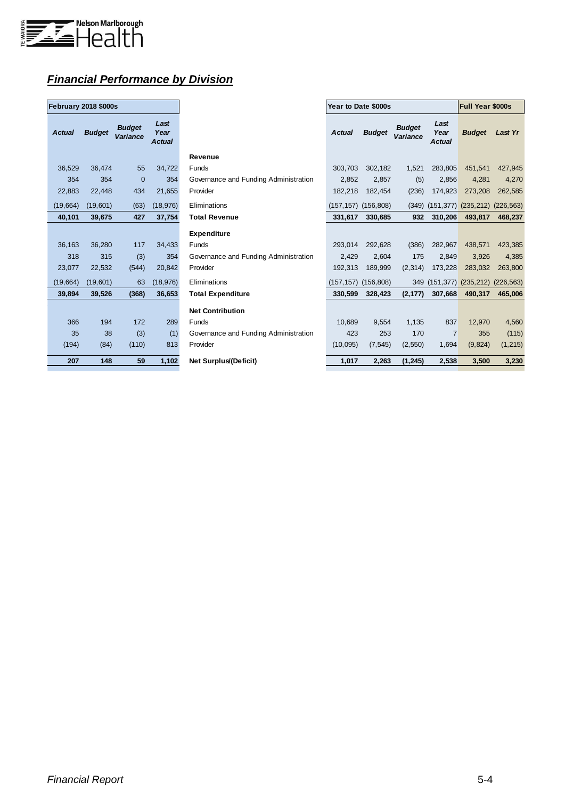

## *Financial Performance by Division*

| <b>February 2018 \$000s</b> |               |                           |                               |  |  |  |  |  |  |
|-----------------------------|---------------|---------------------------|-------------------------------|--|--|--|--|--|--|
| Actual                      | <b>Budget</b> | <b>Budget</b><br>Variance | Last<br>Year<br><b>Actual</b> |  |  |  |  |  |  |
| 36,529                      | 36.474        | 55                        | 34.722                        |  |  |  |  |  |  |
| 354                         | 354           | $\Omega$                  | 354                           |  |  |  |  |  |  |
| 22,883                      | 22,448        | 434                       | 21,655                        |  |  |  |  |  |  |
| (19,664)                    | (19,601)      | (63)                      | (18, 976)                     |  |  |  |  |  |  |
| 40,101                      | 39,675        | 427                       | 37,754                        |  |  |  |  |  |  |
|                             |               |                           |                               |  |  |  |  |  |  |
| 36,163                      | 36,280        | 117                       | 34,433                        |  |  |  |  |  |  |
| 318                         | 315           | (3)                       | 354                           |  |  |  |  |  |  |
| 23,077                      | 22,532        | (544)                     | 20,842                        |  |  |  |  |  |  |
| (19,664)                    | (19,601)      | 63                        | (18, 976)                     |  |  |  |  |  |  |
| 39,894                      | 39,526        | (368)                     | 36,653                        |  |  |  |  |  |  |
|                             |               |                           |                               |  |  |  |  |  |  |
| 366                         | 194           | 172                       | 289                           |  |  |  |  |  |  |
| 35                          | 38            | (3)                       | (1)                           |  |  |  |  |  |  |
| (194)                       | (84)          | (110)                     | 813                           |  |  |  |  |  |  |
| 207                         | 148           | 59                        | 1,102                         |  |  |  |  |  |  |

|               | <b>February 2018 \$000s</b> |                                  |                               |                                       | Year to Date \$000s |               | <b>Full Year \$000s</b>   |                               |                         |                |
|---------------|-----------------------------|----------------------------------|-------------------------------|---------------------------------------|---------------------|---------------|---------------------------|-------------------------------|-------------------------|----------------|
| <b>Actual</b> | <b>Budget</b>               | <b>Budget</b><br><b>Variance</b> | Last<br>Year<br><b>Actual</b> |                                       | <b>Actual</b>       | <b>Budget</b> | <b>Budget</b><br>Variance | Last<br>Year<br><b>Actual</b> | <b>Budget</b>           | <b>Last Yr</b> |
|               |                             |                                  |                               | <b>Revenue</b>                        |                     |               |                           |                               |                         |                |
| 36,529        | 36,474                      | 55                               | 34,722                        | Funds                                 | 303,703             | 302,182       | 1,521                     | 283,805                       | 451,541                 | 427,945        |
| 354           | 354                         | $\overline{0}$                   | 354                           | Governance and Funding Administration | 2,852               | 2,857         | (5)                       | 2,856                         | 4,281                   | 4,270          |
| 22,883        | 22,448                      | 434                              | 21,655                        | Provider                              | 182,218             | 182.454       | (236)                     | 174,923                       | 273,208                 | 262,585        |
| (19,664)      | (19,601)                    | (63)                             | (18, 976)                     | Eliminations                          | (157, 157)          | (156, 808)    | (349)                     | (151, 377)                    | $(235,212)$ $(226,563)$ |                |
| 40,101        | 39,675                      | 427                              | 37,754                        | <b>Total Revenue</b>                  | 331,617             | 330,685       | 932                       | 310,206                       | 493,817                 | 468,237        |
|               |                             |                                  |                               | <b>Expenditure</b>                    |                     |               |                           |                               |                         |                |
| 36,163        | 36,280                      | 117                              | 34,433                        | Funds                                 | 293,014             | 292,628       | (386)                     | 282,967                       | 438,571                 | 423,385        |
| 318           | 315                         | (3)                              | 354                           | Governance and Funding Administration | 2,429               | 2.604         | 175                       | 2,849                         | 3,926                   | 4,385          |
| 23,077        | 22,532                      | (544)                            | 20,842                        | Provider                              | 192,313             | 189,999       | (2,314)                   | 173,228                       | 283,032                 | 263,800        |
| (19,664)      | (19,601)                    | 63                               | (18, 976)                     | Eliminations                          | (157, 157)          | (156, 808)    | 349                       | (151, 377)                    | $(235,212)$ $(226,563)$ |                |
| 39,894        | 39,526                      | (368)                            | 36,653                        | <b>Total Expenditure</b>              | 330.599             | 328,423       | (2, 177)                  | 307,668                       | 490,317                 | 465,006        |
|               |                             |                                  |                               | <b>Net Contribution</b>               |                     |               |                           |                               |                         |                |
| 366           | 194                         | 172                              | 289                           | Funds                                 | 10,689              | 9,554         | 1,135                     | 837                           | 12,970                  | 4,560          |
| 35            | 38                          | (3)                              | (1)                           | Governance and Funding Administration | 423                 | 253           | 170                       | $\overline{7}$                | 355                     | (115)          |
| (194)         | (84)                        | (110)                            | 813                           | Provider                              | (10,095)            | (7, 545)      | (2,550)                   | 1,694                         | (9,824)                 | (1, 215)       |
| 207           | 148                         | 59                               | 1,102                         | <b>Net Surplus/(Deficit)</b>          | 1,017               | 2,263         | (1, 245)                  | 2,538                         | 3,500                   | 3,230          |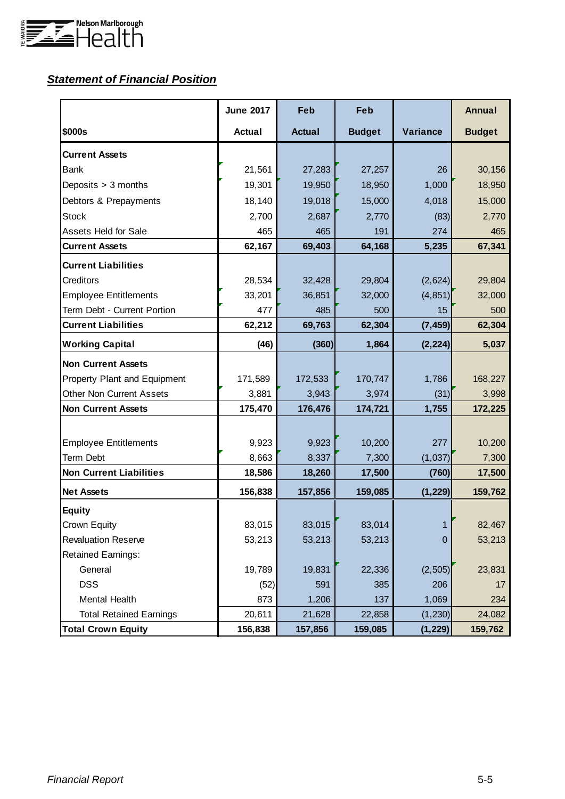

## *Statement of Financial Position*

|                                 | <b>June 2017</b> | Feb           | Feb           |          | <b>Annual</b> |
|---------------------------------|------------------|---------------|---------------|----------|---------------|
| \$000s                          | <b>Actual</b>    | <b>Actual</b> | <b>Budget</b> | Variance | <b>Budget</b> |
| <b>Current Assets</b>           |                  |               |               |          |               |
| Bank                            | 21,561           | 27,283        | 27,257        | 26       | 30,156        |
| Deposits > 3 months             | 19,301           | 19,950        | 18,950        | 1,000    | 18,950        |
| Debtors & Prepayments           | 18,140           | 19,018        | 15,000        | 4,018    | 15,000        |
| <b>Stock</b>                    | 2,700            | 2,687         | 2,770         | (83)     | 2,770         |
| <b>Assets Held for Sale</b>     | 465              | 465           | 191           | 274      | 465           |
| <b>Current Assets</b>           | 62,167           | 69,403        | 64,168        | 5,235    | 67,341        |
| <b>Current Liabilities</b>      |                  |               |               |          |               |
| <b>Creditors</b>                | 28,534           | 32,428        | 29,804        | (2,624)  | 29,804        |
| <b>Employee Entitlements</b>    | 33,201           | 36,851        | 32,000        | (4, 851) | 32,000        |
| Term Debt - Current Portion     | 477              | 485           | 500           | 15       | 500           |
| <b>Current Liabilities</b>      | 62,212           | 69,763        | 62,304        | (7, 459) | 62,304        |
| <b>Working Capital</b>          | (46)             | (360)         | 1,864         | (2, 224) | 5,037         |
| <b>Non Current Assets</b>       |                  |               |               |          |               |
| Property Plant and Equipment    | 171,589          | 172,533       | 170,747       | 1,786    | 168,227       |
| <b>Other Non Current Assets</b> | 3,881            | 3,943         | 3,974         | (31)     | 3,998         |
| <b>Non Current Assets</b>       | 175,470          | 176,476       | 174,721       | 1,755    | 172,225       |
|                                 |                  |               |               |          |               |
| <b>Employee Entitlements</b>    | 9,923            | 9,923         | 10,200        | 277      | 10,200        |
| <b>Term Debt</b>                | 8,663            | 8,337         | 7,300         | (1,037)  | 7,300         |
| <b>Non Current Liabilities</b>  | 18,586           | 18,260        | 17,500        | (760)    | 17,500        |
| <b>Net Assets</b>               | 156,838          | 157,856       | 159,085       | (1, 229) | 159,762       |
| <b>Equity</b>                   |                  |               |               |          |               |
| Crown Equity                    | 83,015           | 83,015        | 83,014        | 1        | 82,467        |
| <b>Revaluation Reserve</b>      | 53,213           | 53,213        | 53,213        | 0        | 53,213        |
| <b>Retained Earnings:</b>       |                  |               |               |          |               |
| General                         | 19,789           | 19,831        | 22,336        | (2, 505) | 23,831        |
| <b>DSS</b>                      | (52)             | 591           | 385           | 206      | 17            |
| <b>Mental Health</b>            | 873              | 1,206         | 137           | 1,069    | 234           |
| <b>Total Retained Earnings</b>  | 20,611           | 21,628        | 22,858        | (1, 230) | 24,082        |
| <b>Total Crown Equity</b>       | 156,838          | 157,856       | 159,085       | (1, 229) | 159,762       |